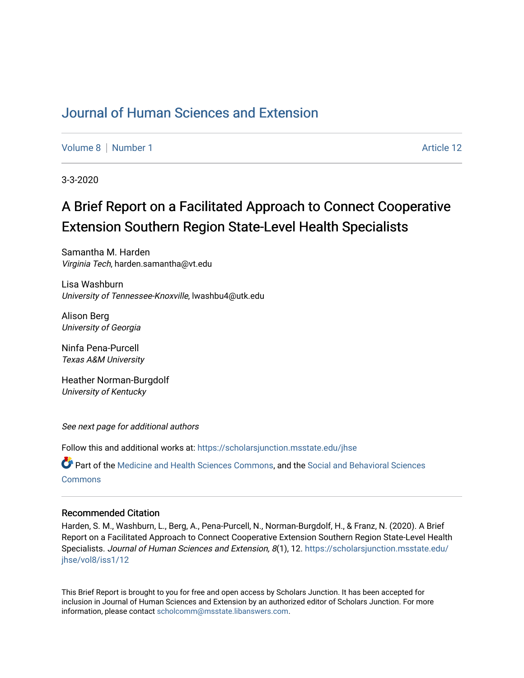# [Journal of Human Sciences and Extension](https://scholarsjunction.msstate.edu/jhse)

[Volume 8](https://scholarsjunction.msstate.edu/jhse/vol8) [Number 1](https://scholarsjunction.msstate.edu/jhse/vol8/iss1) Article 12

3-3-2020

# A Brief Report on a Facilitated Approach to Connect Cooperative Extension Southern Region State-Level Health Specialists

Samantha M. Harden Virginia Tech, harden.samantha@vt.edu

Lisa Washburn University of Tennessee-Knoxville, lwashbu4@utk.edu

Alison Berg University of Georgia

Ninfa Pena-Purcell Texas A&M University

Heather Norman-Burgdolf University of Kentucky

See next page for additional authors

Follow this and additional works at: [https://scholarsjunction.msstate.edu/jhse](https://scholarsjunction.msstate.edu/jhse?utm_source=scholarsjunction.msstate.edu%2Fjhse%2Fvol8%2Fiss1%2F12&utm_medium=PDF&utm_campaign=PDFCoverPages)

Part of the [Medicine and Health Sciences Commons,](http://network.bepress.com/hgg/discipline/648?utm_source=scholarsjunction.msstate.edu%2Fjhse%2Fvol8%2Fiss1%2F12&utm_medium=PDF&utm_campaign=PDFCoverPages) and the [Social and Behavioral Sciences](http://network.bepress.com/hgg/discipline/316?utm_source=scholarsjunction.msstate.edu%2Fjhse%2Fvol8%2Fiss1%2F12&utm_medium=PDF&utm_campaign=PDFCoverPages) **[Commons](http://network.bepress.com/hgg/discipline/316?utm_source=scholarsjunction.msstate.edu%2Fjhse%2Fvol8%2Fiss1%2F12&utm_medium=PDF&utm_campaign=PDFCoverPages)** 

#### Recommended Citation

Harden, S. M., Washburn, L., Berg, A., Pena-Purcell, N., Norman-Burgdolf, H., & Franz, N. (2020). A Brief Report on a Facilitated Approach to Connect Cooperative Extension Southern Region State-Level Health Specialists. Journal of Human Sciences and Extension, 8(1), 12. [https://scholarsjunction.msstate.edu/](https://scholarsjunction.msstate.edu/jhse/vol8/iss1/12?utm_source=scholarsjunction.msstate.edu%2Fjhse%2Fvol8%2Fiss1%2F12&utm_medium=PDF&utm_campaign=PDFCoverPages) [jhse/vol8/iss1/12](https://scholarsjunction.msstate.edu/jhse/vol8/iss1/12?utm_source=scholarsjunction.msstate.edu%2Fjhse%2Fvol8%2Fiss1%2F12&utm_medium=PDF&utm_campaign=PDFCoverPages) 

This Brief Report is brought to you for free and open access by Scholars Junction. It has been accepted for inclusion in Journal of Human Sciences and Extension by an authorized editor of Scholars Junction. For more information, please contact [scholcomm@msstate.libanswers.com](mailto:scholcomm@msstate.libanswers.com).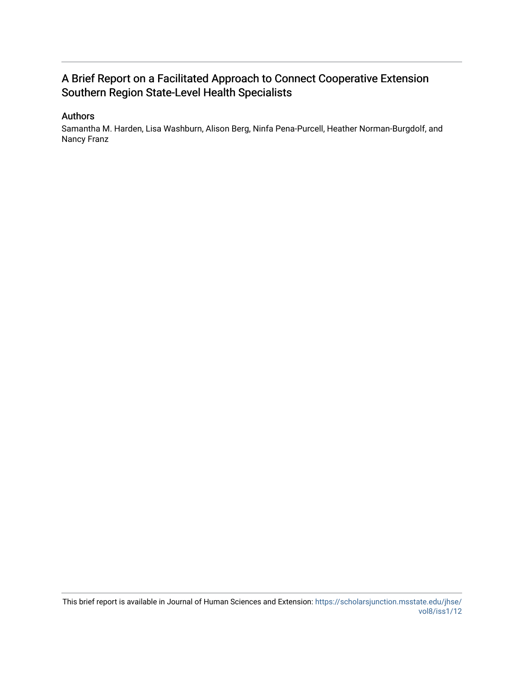# A Brief Report on a Facilitated Approach to Connect Cooperative Extension Southern Region State-Level Health Specialists

#### Authors

Samantha M. Harden, Lisa Washburn, Alison Berg, Ninfa Pena-Purcell, Heather Norman-Burgdolf, and Nancy Franz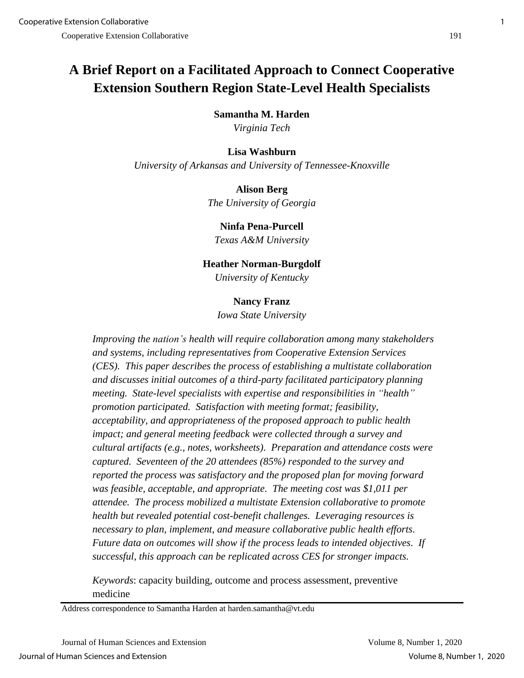# **A Brief Report on a Facilitated Approach to Connect Cooperative Extension Southern Region State-Level Health Specialists**

**Samantha M. Harden**

*Virginia Tech*

# **Lisa Washburn**

*University of Arkansas and University of Tennessee-Knoxville*

# **Alison Berg**

*The University of Georgia*

# **Ninfa Pena-Purcell**

*Texas A&M University*

# **Heather Norman-Burgdolf**

*University of Kentucky*

# **Nancy Franz**

*Iowa State University*

*Improving the nation's health will require collaboration among many stakeholders and systems, including representatives from Cooperative Extension Services (CES). This paper describes the process of establishing a multistate collaboration and discusses initial outcomes of a third-party facilitated participatory planning meeting. State-level specialists with expertise and responsibilities in "health" promotion participated. Satisfaction with meeting format; feasibility, acceptability, and appropriateness of the proposed approach to public health impact; and general meeting feedback were collected through a survey and cultural artifacts (e.g., notes, worksheets). Preparation and attendance costs were captured. Seventeen of the 20 attendees (85%) responded to the survey and reported the process was satisfactory and the proposed plan for moving forward was feasible, acceptable, and appropriate. The meeting cost was \$1,011 per attendee. The process mobilized a multistate Extension collaborative to promote health but revealed potential cost-benefit challenges. Leveraging resources is necessary to plan, implement, and measure collaborative public health efforts. Future data on outcomes will show if the process leads to intended objectives. If successful, this approach can be replicated across CES for stronger impacts.*

*Keywords*: capacity building, outcome and process assessment, preventive medicine

Address correspondence to Samantha Harden at harden.samantha@vt.edu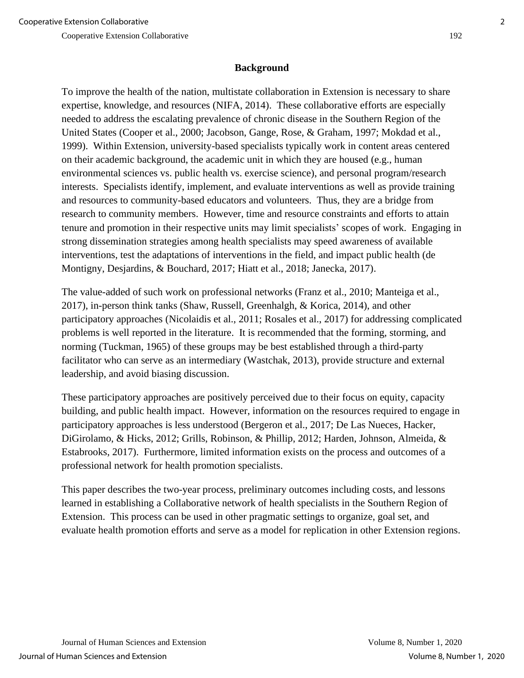# **Background**

To improve the health of the nation, multistate collaboration in Extension is necessary to share expertise, knowledge, and resources (NIFA, 2014). These collaborative efforts are especially needed to address the escalating prevalence of chronic disease in the Southern Region of the United States (Cooper et al., 2000; Jacobson, Gange, Rose, & Graham, 1997; Mokdad et al., 1999). Within Extension, university-based specialists typically work in content areas centered on their academic background, the academic unit in which they are housed (e.g., human environmental sciences vs. public health vs. exercise science), and personal program/research interests. Specialists identify, implement, and evaluate interventions as well as provide training and resources to community-based educators and volunteers. Thus, they are a bridge from research to community members. However, time and resource constraints and efforts to attain tenure and promotion in their respective units may limit specialists' scopes of work. Engaging in strong dissemination strategies among health specialists may speed awareness of available interventions, test the adaptations of interventions in the field, and impact public health (de Montigny, Desjardins, & Bouchard, 2017; Hiatt et al., 2018; Janecka, 2017).

The value-added of such work on professional networks (Franz et al., 2010; Manteiga et al., 2017), in-person think tanks (Shaw, Russell, Greenhalgh, & Korica, 2014), and other participatory approaches (Nicolaidis et al., 2011; Rosales et al., 2017) for addressing complicated problems is well reported in the literature. It is recommended that the forming, storming, and norming (Tuckman, 1965) of these groups may be best established through a third-party facilitator who can serve as an intermediary (Wastchak, 2013), provide structure and external leadership, and avoid biasing discussion.

These participatory approaches are positively perceived due to their focus on equity, capacity building, and public health impact. However, information on the resources required to engage in participatory approaches is less understood (Bergeron et al., 2017; De Las Nueces, Hacker, DiGirolamo, & Hicks, 2012; Grills, Robinson, & Phillip, 2012; Harden, Johnson, Almeida, & Estabrooks, 2017). Furthermore, limited information exists on the process and outcomes of a professional network for health promotion specialists.

This paper describes the two-year process, preliminary outcomes including costs, and lessons learned in establishing a Collaborative network of health specialists in the Southern Region of Extension. This process can be used in other pragmatic settings to organize, goal set, and evaluate health promotion efforts and serve as a model for replication in other Extension regions.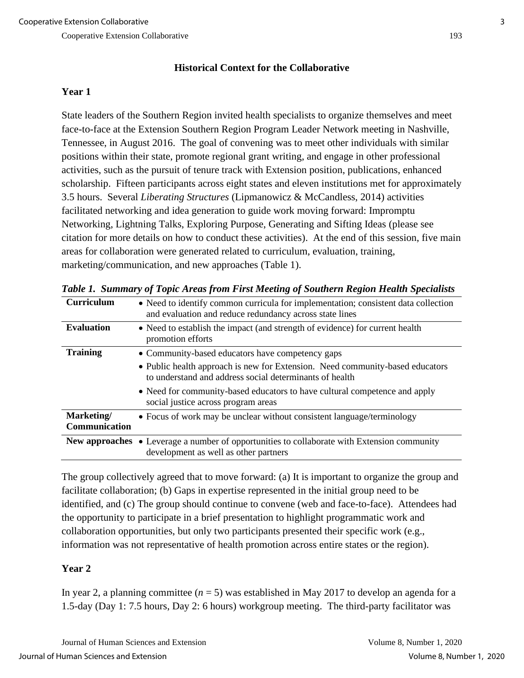# **Historical Context for the Collaborative**

# **Year 1**

State leaders of the Southern Region invited health specialists to organize themselves and meet face-to-face at the Extension Southern Region Program Leader Network meeting in Nashville, Tennessee, in August 2016. The goal of convening was to meet other individuals with similar positions within their state, promote regional grant writing, and engage in other professional activities, such as the pursuit of tenure track with Extension position, publications, enhanced scholarship. Fifteen participants across eight states and eleven institutions met for approximately 3.5 hours. Several *Liberating Structures* (Lipmanowicz & McCandless, 2014) activities facilitated networking and idea generation to guide work moving forward: Impromptu Networking, Lightning Talks, Exploring Purpose, Generating and Sifting Ideas (please see citation for more details on how to conduct these activities). At the end of this session, five main areas for collaboration were generated related to curriculum, evaluation, training, marketing/communication, and new approaches (Table 1).

| Curriculum                  | • Need to identify common curricula for implementation; consistent data collection<br>and evaluation and reduce redundancy across state lines |  |  |  |  |  |
|-----------------------------|-----------------------------------------------------------------------------------------------------------------------------------------------|--|--|--|--|--|
| <b>Evaluation</b>           | • Need to establish the impact (and strength of evidence) for current health<br>promotion efforts                                             |  |  |  |  |  |
| <b>Training</b>             | • Community-based educators have competency gaps                                                                                              |  |  |  |  |  |
|                             | • Public health approach is new for Extension. Need community-based educators<br>to understand and address social determinants of health      |  |  |  |  |  |
|                             | • Need for community-based educators to have cultural competence and apply<br>social justice across program areas                             |  |  |  |  |  |
| Marketing/<br>Communication | • Focus of work may be unclear without consistent language/terminology                                                                        |  |  |  |  |  |
|                             | <b>New approaches •</b> Leverage a number of opportunities to collaborate with Extension community<br>development as well as other partners   |  |  |  |  |  |

*Table 1. Summary of Topic Areas from First Meeting of Southern Region Health Specialists* 

The group collectively agreed that to move forward: (a) It is important to organize the group and facilitate collaboration; (b) Gaps in expertise represented in the initial group need to be identified, and (c) The group should continue to convene (web and face-to-face). Attendees had the opportunity to participate in a brief presentation to highlight programmatic work and collaboration opportunities, but only two participants presented their specific work (e.g., information was not representative of health promotion across entire states or the region).

# **Year 2**

In year 2, a planning committee  $(n = 5)$  was established in May 2017 to develop an agenda for a 1.5-day (Day 1: 7.5 hours, Day 2: 6 hours) workgroup meeting. The third-party facilitator was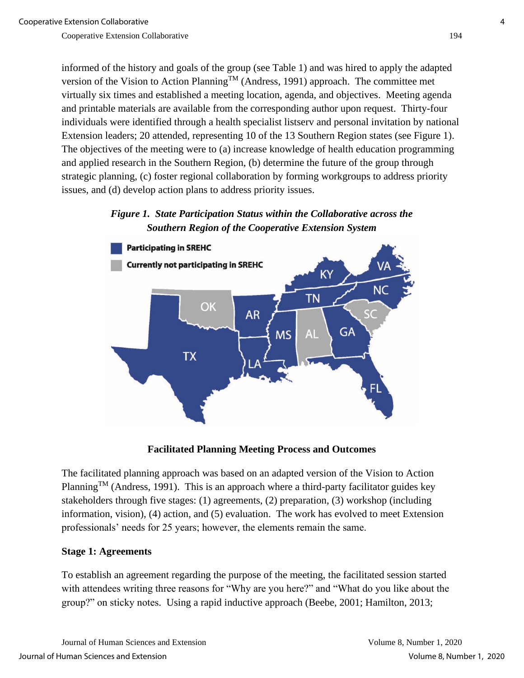informed of the history and goals of the group (see Table 1) and was hired to apply the adapted version of the Vision to Action Planning<sup>TM</sup> (Andress, 1991) approach. The committee met virtually six times and established a meeting location, agenda, and objectives. Meeting agenda and printable materials are available from the corresponding author upon request. Thirty-four individuals were identified through a health specialist listserv and personal invitation by national Extension leaders; 20 attended, representing 10 of the 13 Southern Region states (see Figure 1). The objectives of the meeting were to (a) increase knowledge of health education programming and applied research in the Southern Region, (b) determine the future of the group through strategic planning, (c) foster regional collaboration by forming workgroups to address priority issues, and (d) develop action plans to address priority issues.

*Figure 1. State Participation Status within the Collaborative across the Southern Region of the Cooperative Extension System*



#### **Facilitated Planning Meeting Process and Outcomes**

The facilitated planning approach was based on an adapted version of the Vision to Action Planning<sup>TM</sup> (Andress, 1991). This is an approach where a third-party facilitator guides key stakeholders through five stages: (1) agreements, (2) preparation, (3) workshop (including information, vision), (4) action, and (5) evaluation. The work has evolved to meet Extension professionals' needs for 25 years; however, the elements remain the same.

#### **Stage 1: Agreements**

To establish an agreement regarding the purpose of the meeting, the facilitated session started with attendees writing three reasons for "Why are you here?" and "What do you like about the group?" on sticky notes. Using a rapid inductive approach (Beebe, 2001; Hamilton, 2013;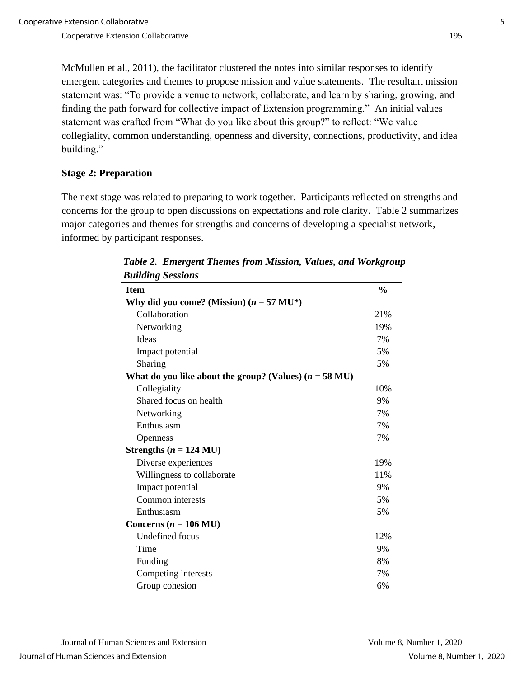McMullen et al., 2011), the facilitator clustered the notes into similar responses to identify emergent categories and themes to propose mission and value statements. The resultant mission statement was: "To provide a venue to network, collaborate, and learn by sharing, growing, and finding the path forward for collective impact of Extension programming." An initial values statement was crafted from "What do you like about this group?" to reflect: "We value collegiality, common understanding, openness and diversity, connections, productivity, and idea building."

# **Stage 2: Preparation**

The next stage was related to preparing to work together. Participants reflected on strengths and concerns for the group to open discussions on expectations and role clarity. Table 2 summarizes major categories and themes for strengths and concerns of developing a specialist network, informed by participant responses.

| Dunumg Dessions                                                  |               |
|------------------------------------------------------------------|---------------|
| <b>Item</b>                                                      | $\frac{0}{0}$ |
| Why did you come? (Mission) $(n = 57 \text{ MU}^*)$              |               |
| Collaboration                                                    | 21%           |
| Networking                                                       | 19%           |
| Ideas                                                            | 7%            |
| Impact potential                                                 | 5%            |
| Sharing                                                          | 5%            |
| What do you like about the group? (Values) $(n = 58 \text{ MU})$ |               |
| Collegiality                                                     | 10%           |
| Shared focus on health                                           | 9%            |
| Networking                                                       | 7%            |
| Enthusiasm                                                       | 7%            |
| Openness                                                         | 7%            |
| Strengths ( $n = 124$ MU)                                        |               |
| Diverse experiences                                              | 19%           |
| Willingness to collaborate                                       | 11%           |
| Impact potential                                                 | 9%            |
| Common interests                                                 | 5%            |
| Enthusiasm                                                       | 5%            |
| Concerns ( $n = 106$ MU)                                         |               |
| <b>Undefined</b> focus                                           | 12%           |
| Time                                                             | 9%            |
| Funding                                                          | 8%            |
| Competing interests                                              | 7%            |
| Group cohesion                                                   | 6%            |

*Table 2. Emergent Themes from Mission, Values, and Workgroup Building Sessions*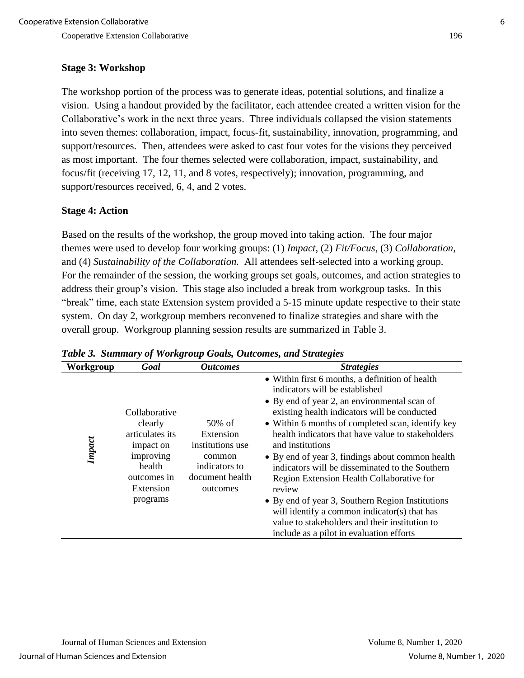# **Stage 3: Workshop**

The workshop portion of the process was to generate ideas, potential solutions, and finalize a vision. Using a handout provided by the facilitator, each attendee created a written vision for the Collaborative's work in the next three years. Three individuals collapsed the vision statements into seven themes: collaboration, impact, focus-fit, sustainability, innovation, programming, and support/resources. Then, attendees were asked to cast four votes for the visions they perceived as most important. The four themes selected were collaboration, impact, sustainability, and focus/fit (receiving 17, 12, 11, and 8 votes, respectively); innovation, programming, and support/resources received, 6, 4, and 2 votes.

# **Stage 4: Action**

Based on the results of the workshop, the group moved into taking action. The four major themes were used to develop four working groups: (1) *Impact*, (2) *Fit/Focus*, (3) *Collaboration*, and (4) *Sustainability of the Collaboration.* All attendees self-selected into a working group. For the remainder of the session, the working groups set goals, outcomes, and action strategies to address their group's vision. This stage also included a break from workgroup tasks. In this "break" time, each state Extension system provided a 5-15 minute update respective to their state system. On day 2, workgroup members reconvened to finalize strategies and share with the overall group. Workgroup planning session results are summarized in Table 3.

| Workgroup | Goal                                                                                                                    | <b>Outcomes</b>                                                                                      | <b>Strategies</b>                                                                                                                                                                                                                                                                                                                                                                                                                                                                                                                                                                                                                                                               |
|-----------|-------------------------------------------------------------------------------------------------------------------------|------------------------------------------------------------------------------------------------------|---------------------------------------------------------------------------------------------------------------------------------------------------------------------------------------------------------------------------------------------------------------------------------------------------------------------------------------------------------------------------------------------------------------------------------------------------------------------------------------------------------------------------------------------------------------------------------------------------------------------------------------------------------------------------------|
| Impact    | Collaborative<br>clearly<br>articulates its<br>impact on<br>improving<br>health<br>outcomes in<br>Extension<br>programs | $50\%$ of<br>Extension<br>institutions use<br>common<br>indicators to<br>document health<br>outcomes | • Within first 6 months, a definition of health<br>indicators will be established<br>• By end of year 2, an environmental scan of<br>existing health indicators will be conducted<br>• Within 6 months of completed scan, identify key<br>health indicators that have value to stakeholders<br>and institutions<br>• By end of year 3, findings about common health<br>indicators will be disseminated to the Southern<br>Region Extension Health Collaborative for<br>review<br>• By end of year 3, Southern Region Institutions<br>will identify a common indicator(s) that has<br>value to stakeholders and their institution to<br>include as a pilot in evaluation efforts |

*Table 3. Summary of Workgroup Goals, Outcomes, and Strategies*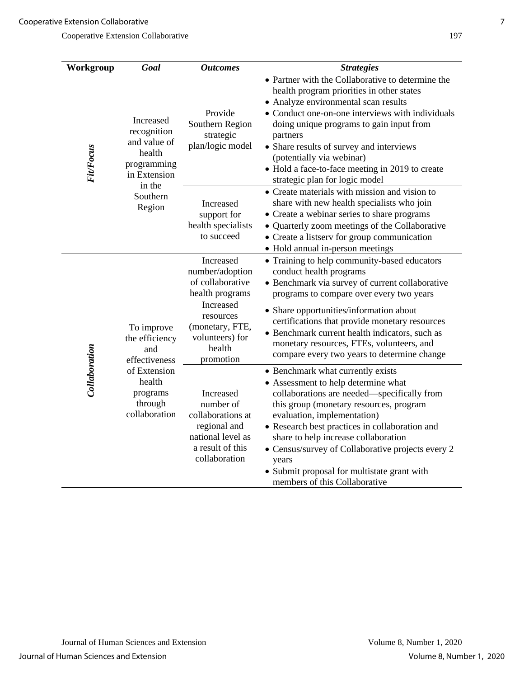| Workgroup        | Goal                                                                                                                   | <b>Outcomes</b>                                                                                                                                            | <b>Strategies</b>                                                                                                                                                                                                                                                                                                                                                                                                                         |
|------------------|------------------------------------------------------------------------------------------------------------------------|------------------------------------------------------------------------------------------------------------------------------------------------------------|-------------------------------------------------------------------------------------------------------------------------------------------------------------------------------------------------------------------------------------------------------------------------------------------------------------------------------------------------------------------------------------------------------------------------------------------|
| <b>Fit/Focus</b> | Increased<br>recognition<br>and value of<br>health<br>programming<br>in Extension<br>in the<br>Southern<br>Region      | Provide<br>Southern Region<br>strategic<br>plan/logic model                                                                                                | • Partner with the Collaborative to determine the<br>health program priorities in other states<br>• Analyze environmental scan results<br>• Conduct one-on-one interviews with individuals<br>doing unique programs to gain input from<br>partners<br>• Share results of survey and interviews<br>(potentially via webinar)<br>• Hold a face-to-face meeting in 2019 to create<br>strategic plan for logic model                          |
|                  |                                                                                                                        | <b>Increased</b><br>support for<br>health specialists<br>to succeed                                                                                        | • Create materials with mission and vision to<br>share with new health specialists who join<br>• Create a webinar series to share programs<br>• Quarterly zoom meetings of the Collaborative<br>• Create a listserv for group communication<br>• Hold annual in-person meetings                                                                                                                                                           |
| Collaboration    | To improve<br>the efficiency<br>and<br>effectiveness<br>of Extension<br>health<br>programs<br>through<br>collaboration | Increased<br>number/adoption<br>of collaborative<br>health programs<br>Increased<br>resources<br>(monetary, FTE,<br>volunteers) for<br>health<br>promotion | • Training to help community-based educators<br>conduct health programs<br>• Benchmark via survey of current collaborative<br>programs to compare over every two years<br>• Share opportunities/information about<br>certifications that provide monetary resources<br>• Benchmark current health indicators, such as<br>monetary resources, FTEs, volunteers, and<br>compare every two years to determine change                         |
|                  |                                                                                                                        | Increased<br>number of<br>collaborations at<br>regional and<br>national level as<br>a result of this<br>collaboration                                      | • Benchmark what currently exists<br>• Assessment to help determine what<br>collaborations are needed—specifically from<br>this group (monetary resources, program<br>evaluation, implementation)<br>• Research best practices in collaboration and<br>share to help increase collaboration<br>• Census/survey of Collaborative projects every 2<br>years<br>• Submit proposal for multistate grant with<br>members of this Collaborative |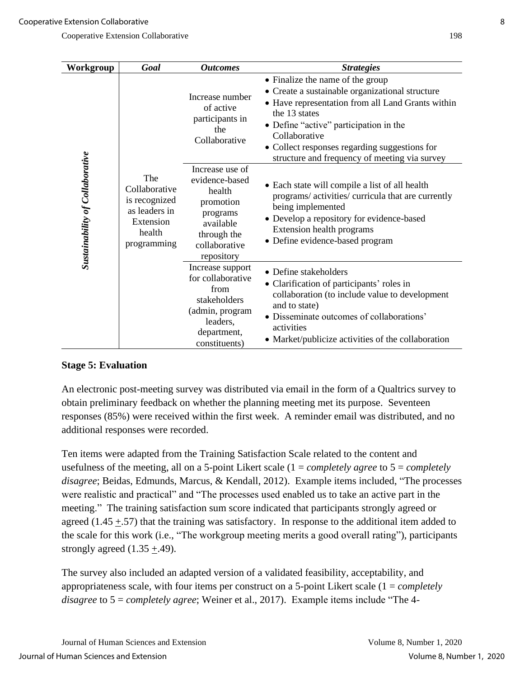| Workgroup                              | Goal                                                                                         | <b>Outcomes</b>                                                                                                                 | <b>Strategies</b>                                                                                                                                                                                                                                                                                                      |
|----------------------------------------|----------------------------------------------------------------------------------------------|---------------------------------------------------------------------------------------------------------------------------------|------------------------------------------------------------------------------------------------------------------------------------------------------------------------------------------------------------------------------------------------------------------------------------------------------------------------|
| <b>Sustainability of Collaborative</b> | The<br>Collaborative<br>is recognized<br>as leaders in<br>Extension<br>health<br>programming | Increase number<br>of active<br>participants in<br>the<br>Collaborative                                                         | • Finalize the name of the group<br>• Create a sustainable organizational structure<br>• Have representation from all Land Grants within<br>the 13 states<br>• Define "active" participation in the<br>Collaborative<br>• Collect responses regarding suggestions for<br>structure and frequency of meeting via survey |
|                                        |                                                                                              | Increase use of<br>evidence-based<br>health<br>promotion<br>programs<br>available<br>through the<br>collaborative<br>repository | • Each state will compile a list of all health<br>programs/activities/curricula that are currently<br>being implemented<br>• Develop a repository for evidence-based<br>Extension health programs<br>• Define evidence-based program                                                                                   |
|                                        |                                                                                              | Increase support<br>for collaborative<br>from<br>stakeholders<br>(admin, program<br>leaders,<br>department,<br>constituents)    | • Define stakeholders<br>• Clarification of participants' roles in<br>collaboration (to include value to development<br>and to state)<br>Disseminate outcomes of collaborations'<br>activities<br>• Market/publicize activities of the collaboration                                                                   |

# **Stage 5: Evaluation**

An electronic post-meeting survey was distributed via email in the form of a Qualtrics survey to obtain preliminary feedback on whether the planning meeting met its purpose. Seventeen responses (85%) were received within the first week. A reminder email was distributed, and no additional responses were recorded.

Ten items were adapted from the Training Satisfaction Scale related to the content and usefulness of the meeting, all on a 5-point Likert scale (1 = *completely agree* to 5 = *completely disagree*; Beidas, Edmunds, Marcus, & Kendall, 2012). Example items included, "The processes were realistic and practical" and "The processes used enabled us to take an active part in the meeting." The training satisfaction sum score indicated that participants strongly agreed or agreed (1.45  $\pm$ .57) that the training was satisfactory. In response to the additional item added to the scale for this work (i.e., "The workgroup meeting merits a good overall rating"), participants strongly agreed  $(1.35 \pm 0.49)$ .

The survey also included an adapted version of a validated feasibility, acceptability, and appropriateness scale, with four items per construct on a 5-point Likert scale (1 = *completely disagree* to 5 = *completely agree*; Weiner et al., 2017). Example items include "The 4-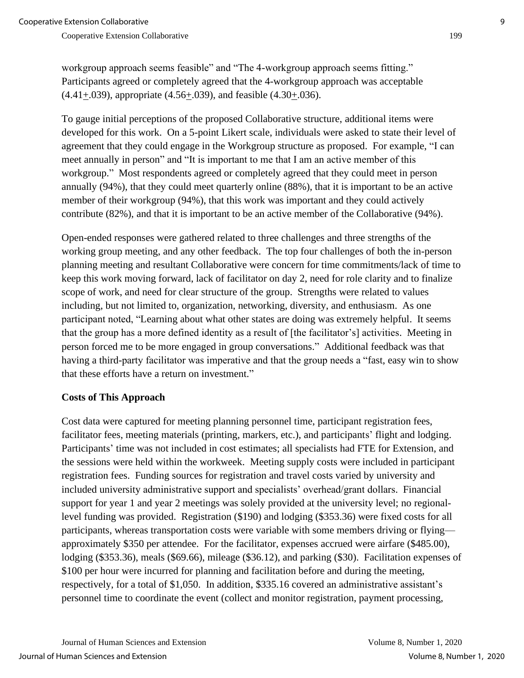workgroup approach seems feasible" and "The 4-workgroup approach seems fitting." Participants agreed or completely agreed that the 4-workgroup approach was acceptable (4.41+.039), appropriate (4.56+.039), and feasible (4.30+.036).

To gauge initial perceptions of the proposed Collaborative structure, additional items were developed for this work. On a 5-point Likert scale, individuals were asked to state their level of agreement that they could engage in the Workgroup structure as proposed. For example, "I can meet annually in person" and "It is important to me that I am an active member of this workgroup." Most respondents agreed or completely agreed that they could meet in person annually (94%), that they could meet quarterly online (88%), that it is important to be an active member of their workgroup (94%), that this work was important and they could actively contribute (82%), and that it is important to be an active member of the Collaborative (94%).

Open-ended responses were gathered related to three challenges and three strengths of the working group meeting, and any other feedback. The top four challenges of both the in-person planning meeting and resultant Collaborative were concern for time commitments/lack of time to keep this work moving forward, lack of facilitator on day 2, need for role clarity and to finalize scope of work, and need for clear structure of the group. Strengths were related to values including, but not limited to, organization, networking, diversity, and enthusiasm. As one participant noted, "Learning about what other states are doing was extremely helpful. It seems that the group has a more defined identity as a result of [the facilitator's] activities. Meeting in person forced me to be more engaged in group conversations." Additional feedback was that having a third-party facilitator was imperative and that the group needs a "fast, easy win to show that these efforts have a return on investment."

# **Costs of This Approach**

Cost data were captured for meeting planning personnel time, participant registration fees, facilitator fees, meeting materials (printing, markers, etc.), and participants' flight and lodging. Participants' time was not included in cost estimates; all specialists had FTE for Extension, and the sessions were held within the workweek. Meeting supply costs were included in participant registration fees. Funding sources for registration and travel costs varied by university and included university administrative support and specialists' overhead/grant dollars. Financial support for year 1 and year 2 meetings was solely provided at the university level; no regionallevel funding was provided. Registration (\$190) and lodging (\$353.36) were fixed costs for all participants, whereas transportation costs were variable with some members driving or flying approximately \$350 per attendee. For the facilitator, expenses accrued were airfare (\$485.00), lodging (\$353.36), meals (\$69.66), mileage (\$36.12), and parking (\$30). Facilitation expenses of \$100 per hour were incurred for planning and facilitation before and during the meeting, respectively, for a total of \$1,050. In addition, \$335.16 covered an administrative assistant's personnel time to coordinate the event (collect and monitor registration, payment processing,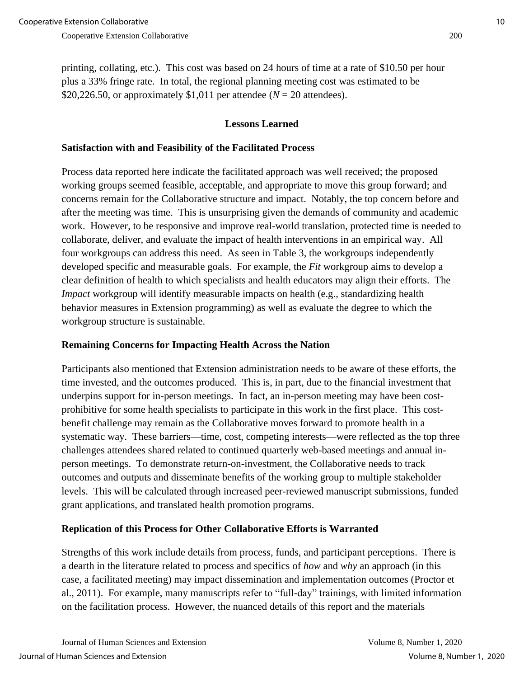printing, collating, etc.). This cost was based on 24 hours of time at a rate of \$10.50 per hour plus a 33% fringe rate. In total, the regional planning meeting cost was estimated to be \$20,226.50, or approximately \$1,011 per attendee ( $N = 20$  attendees).

# **Lessons Learned**

### **Satisfaction with and Feasibility of the Facilitated Process**

Process data reported here indicate the facilitated approach was well received; the proposed working groups seemed feasible, acceptable, and appropriate to move this group forward; and concerns remain for the Collaborative structure and impact. Notably, the top concern before and after the meeting was time. This is unsurprising given the demands of community and academic work. However, to be responsive and improve real-world translation, protected time is needed to collaborate, deliver, and evaluate the impact of health interventions in an empirical way. All four workgroups can address this need. As seen in Table 3, the workgroups independently developed specific and measurable goals. For example, the *Fit* workgroup aims to develop a clear definition of health to which specialists and health educators may align their efforts. The *Impact* workgroup will identify measurable impacts on health (e.g., standardizing health behavior measures in Extension programming) as well as evaluate the degree to which the workgroup structure is sustainable.

# **Remaining Concerns for Impacting Health Across the Nation**

Participants also mentioned that Extension administration needs to be aware of these efforts, the time invested, and the outcomes produced. This is, in part, due to the financial investment that underpins support for in-person meetings. In fact, an in-person meeting may have been costprohibitive for some health specialists to participate in this work in the first place. This costbenefit challenge may remain as the Collaborative moves forward to promote health in a systematic way. These barriers—time, cost, competing interests—were reflected as the top three challenges attendees shared related to continued quarterly web-based meetings and annual inperson meetings. To demonstrate return-on-investment, the Collaborative needs to track outcomes and outputs and disseminate benefits of the working group to multiple stakeholder levels. This will be calculated through increased peer-reviewed manuscript submissions, funded grant applications, and translated health promotion programs.

# **Replication of this Process for Other Collaborative Efforts is Warranted**

Strengths of this work include details from process, funds, and participant perceptions. There is a dearth in the literature related to process and specifics of *how* and *why* an approach (in this case, a facilitated meeting) may impact dissemination and implementation outcomes (Proctor et al., 2011). For example, many manuscripts refer to "full-day" trainings, with limited information on the facilitation process. However, the nuanced details of this report and the materials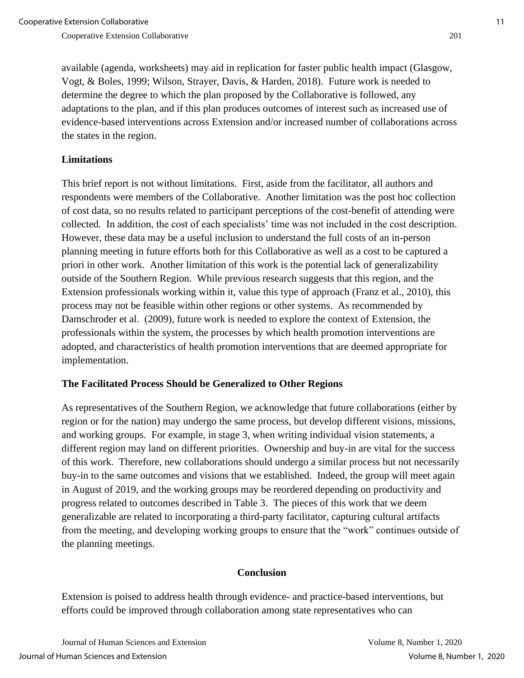available (agenda, worksheets) may aid in replication for faster public health impact (Glasgow, Vogt, & Boles, 1999; Wilson, Strayer, Davis, & Harden, 2018). Future work is needed to determine the degree to which the plan proposed by the Collaborative is followed, any adaptations to the plan, and if this plan produces outcomes of interest such as increased use of evidence-based interventions across Extension and/or increased number of collaborations across the states in the region.

### **Limitations**

This brief report is not without limitations. First, aside from the facilitator, all authors and respondents were members of the Collaborative. Another limitation was the post hoc collection of cost data, so no results related to participant perceptions of the cost-benefit of attending were collected. In addition, the cost of each specialists' time was not included in the cost description. However, these data may be a useful inclusion to understand the full costs of an in-person planning meeting in future efforts both for this Collaborative as well as a cost to be captured a priori in other work. Another limitation of this work is the potential lack of generalizability outside of the Southern Region. While previous research suggests that this region, and the Extension professionals working within it, value this type of approach (Franz et al., 2010), this process may not be feasible within other regions or other systems. As recommended by Damschroder et al. (2009), future work is needed to explore the context of Extension, the professionals within the system, the processes by which health promotion interventions are adopted, and characteristics of health promotion interventions that are deemed appropriate for implementation.

#### **The Facilitated Process Should be Generalized to Other Regions**

As representatives of the Southern Region, we acknowledge that future collaborations (either by region or for the nation) may undergo the same process, but develop different visions, missions, and working groups. For example, in stage 3, when writing individual vision statements, a different region may land on different priorities. Ownership and buy-in are vital for the success of this work. Therefore, new collaborations should undergo a similar process but not necessarily buy-in to the same outcomes and visions that we established. Indeed, the group will meet again in August of 2019, and the working groups may be reordered depending on productivity and progress related to outcomes described in Table 3. The pieces of this work that we deem generalizable are related to incorporating a third-party facilitator, capturing cultural artifacts from the meeting, and developing working groups to ensure that the "work" continues outside of the planning meetings.

#### **Conclusion**

Extension is poised to address health through evidence- and practice-based interventions, but efforts could be improved through collaboration among state representatives who can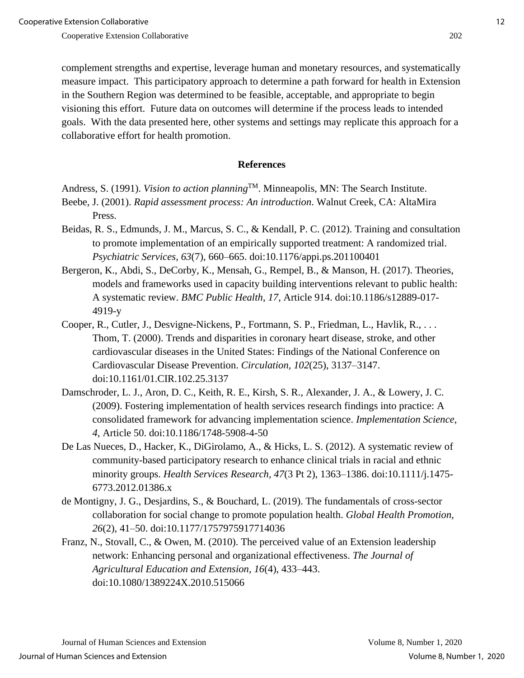complement strengths and expertise, leverage human and monetary resources, and systematically measure impact. This participatory approach to determine a path forward for health in Extension in the Southern Region was determined to be feasible, acceptable, and appropriate to begin visioning this effort. Future data on outcomes will determine if the process leads to intended goals. With the data presented here, other systems and settings may replicate this approach for a collaborative effort for health promotion.

#### **References**

```
Andress, S. (1991). Vision to action planning<sup>TM</sup>. Minneapolis, MN: The Search Institute.
```
- Beebe, J. (2001). *Rapid assessment process: An introduction*. Walnut Creek, CA: AltaMira Press.
- Beidas, R. S., Edmunds, J. M., Marcus, S. C., & Kendall, P. C. (2012). Training and consultation to promote implementation of an empirically supported treatment: A randomized trial. *Psychiatric Services, 63*(7), 660–665. doi:10.1176/appi.ps.201100401
- Bergeron, K., Abdi, S., DeCorby, K., Mensah, G., Rempel, B., & Manson, H. (2017). Theories, models and frameworks used in capacity building interventions relevant to public health: A systematic review. *BMC Public Health, 17*, Article 914. doi:10.1186/s12889-017- 4919-y
- Cooper, R., Cutler, J., Desvigne-Nickens, P., Fortmann, S. P., Friedman, L., Havlik, R., . . . Thom, T. (2000). Trends and disparities in coronary heart disease, stroke, and other cardiovascular diseases in the United States: Findings of the National Conference on Cardiovascular Disease Prevention. *Circulation, 102*(25), 3137–3147. doi:10.1161/01.CIR.102.25.3137
- Damschroder, L. J., Aron, D. C., Keith, R. E., Kirsh, S. R., Alexander, J. A., & Lowery, J. C. (2009). Fostering implementation of health services research findings into practice: A consolidated framework for advancing implementation science. *Implementation Science, 4*, Article 50. doi:10.1186/1748-5908-4-50
- De Las Nueces, D., Hacker, K., DiGirolamo, A., & Hicks, L. S. (2012). A systematic review of community-based participatory research to enhance clinical trials in racial and ethnic minority groups. *Health Services Research, 47*(3 Pt 2), 1363–1386. doi:10.1111/j.1475- 6773.2012.01386.x
- de Montigny, J. G., Desjardins, S., & Bouchard, L. (2019). The fundamentals of cross-sector collaboration for social change to promote population health. *Global Health Promotion, 26*(2), 41–50. doi:10.1177/1757975917714036
- Franz, N., Stovall, C., & Owen, M. (2010). The perceived value of an Extension leadership network: Enhancing personal and organizational effectiveness. *The Journal of Agricultural Education and Extension, 16*(4), 433–443. doi:10.1080/1389224X.2010.515066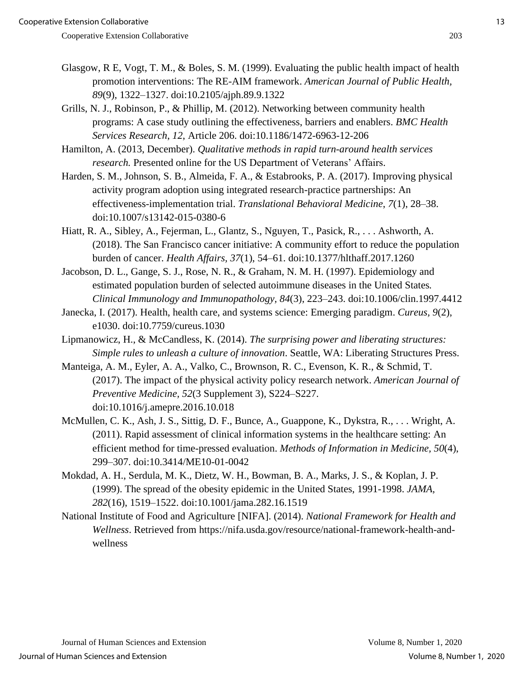- Glasgow, R E, Vogt, T. M., & Boles, S. M. (1999). Evaluating the public health impact of health promotion interventions: The RE-AIM framework. *American Journal of Public Health, 89*(9), 1322–1327. doi:10.2105/ajph.89.9.1322
- Grills, N. J., Robinson, P., & Phillip, M. (2012). Networking between community health programs: A case study outlining the effectiveness, barriers and enablers. *BMC Health Services Research*, *12*, Article 206. doi:10.1186/1472-6963-12-206

Hamilton, A. (2013, December). *Qualitative methods in rapid turn-around health services research.* Presented online for the US Department of Veterans' Affairs.

- Harden, S. M., Johnson, S. B., Almeida, F. A., & Estabrooks, P. A. (2017). Improving physical activity program adoption using integrated research-practice partnerships: An effectiveness-implementation trial. *Translational Behavioral Medicine*, *7*(1), 28–38. doi:10.1007/s13142-015-0380-6
- Hiatt, R. A., Sibley, A., Fejerman, L., Glantz, S., Nguyen, T., Pasick, R., . . . Ashworth, A. (2018). The San Francisco cancer initiative: A community effort to reduce the population burden of cancer. *Health Affairs, 37*(1), 54–61. doi:10.1377/hlthaff.2017.1260
- Jacobson, D. L., Gange, S. J., Rose, N. R., & Graham, N. M. H. (1997). Epidemiology and estimated population burden of selected autoimmune diseases in the United States*. Clinical Immunology and Immunopathology, 84*(3), 223–243. doi:10.1006/clin.1997.4412
- Janecka, I. (2017). Health, health care, and systems science: Emerging paradigm. *Cureus, 9*(2), e1030. doi:10.7759/cureus.1030
- Lipmanowicz, H., & McCandless, K. (2014). *The surprising power and liberating structures: Simple rules to unleash a culture of innovation*. Seattle, WA: Liberating Structures Press.
- Manteiga, A. M., Eyler, A. A., Valko, C., Brownson, R. C., Evenson, K. R., & Schmid, T. (2017). The impact of the physical activity policy research network. *American Journal of Preventive Medicine, 52*(3 Supplement 3), S224–S227. doi:10.1016/j.amepre.2016.10.018
- McMullen, C. K., Ash, J. S., Sittig, D. F., Bunce, A., Guappone, K., Dykstra, R., . . . Wright, A. (2011). Rapid assessment of clinical information systems in the healthcare setting: An efficient method for time-pressed evaluation. *Methods of Information in Medicine, 50*(4), 299–307. doi:10.3414/ME10-01-0042
- Mokdad, A. H., Serdula, M. K., Dietz, W. H., Bowman, B. A., Marks, J. S., & Koplan, J. P. (1999). The spread of the obesity epidemic in the United States, 1991-1998. *JAMA, 282*(16), 1519–1522. doi:10.1001/jama.282.16.1519
- National Institute of Food and Agriculture [NIFA]. (2014). *National Framework for Health and Wellness*. Retrieved from https://nifa.usda.gov/resource/national-framework-health-andwellness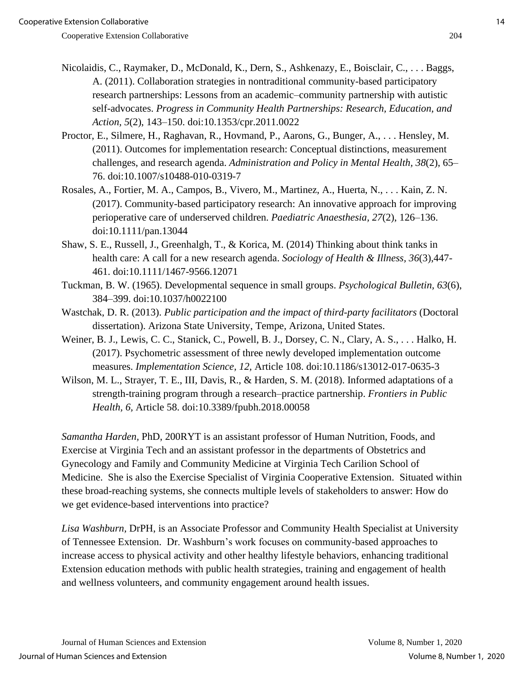- Nicolaidis, C., Raymaker, D., McDonald, K., Dern, S., Ashkenazy, E., Boisclair, C., . . . Baggs, A. (2011). Collaboration strategies in nontraditional community-based participatory research partnerships: Lessons from an academic–community partnership with autistic self-advocates. *Progress in Community Health Partnerships: Research, Education, and Action, 5*(2), 143–150. doi:10.1353/cpr.2011.0022
- Proctor, E., Silmere, H., Raghavan, R., Hovmand, P., Aarons, G., Bunger, A., . . . Hensley, M. (2011). Outcomes for implementation research: Conceptual distinctions, measurement challenges, and research agenda. *Administration and Policy in Mental Health, 38*(2), 65– 76. doi:10.1007/s10488-010-0319-7
- Rosales, A., Fortier, M. A., Campos, B., Vivero, M., Martinez, A., Huerta, N., . . . Kain, Z. N. (2017). Community-based participatory research: An innovative approach for improving perioperative care of underserved children. *Paediatric Anaesthesia, 27*(2), 126–136. doi:10.1111/pan.13044
- Shaw, S. E., Russell, J., Greenhalgh, T., & Korica, M. (2014) Thinking about think tanks in health care: A call for a new research agenda. *Sociology of Health & Illness, 36*(3),447- 461. doi:10.1111/1467-9566.12071
- Tuckman, B. W. (1965). Developmental sequence in small groups. *Psychological Bulletin, 63*(6), 384–399. doi:10.1037/h0022100
- Wastchak, D. R. (2013). *Public participation and the impact of third-party facilitators* (Doctoral dissertation). Arizona State University, Tempe, Arizona, United States.
- Weiner, B. J., Lewis, C. C., Stanick, C., Powell, B. J., Dorsey, C. N., Clary, A. S., . . . Halko, H. (2017). Psychometric assessment of three newly developed implementation outcome measures. *Implementation Science, 12,* Article 108. doi:10.1186/s13012-017-0635-3
- Wilson, M. L., Strayer, T. E., III, Davis, R., & Harden, S. M. (2018). Informed adaptations of a strength-training program through a research–practice partnership. *Frontiers in Public Health, 6,* Article 58. doi:10.3389/fpubh.2018.00058

*Samantha Harden,* PhD, 200RYT is an assistant professor of Human Nutrition, Foods, and Exercise at Virginia Tech and an assistant professor in the departments of Obstetrics and Gynecology and Family and Community Medicine at Virginia Tech Carilion School of Medicine. She is also the Exercise Specialist of Virginia Cooperative Extension. Situated within these broad-reaching systems, she connects multiple levels of stakeholders to answer: How do we get evidence-based interventions into practice?

*Lisa Washburn,* DrPH, is an Associate Professor and Community Health Specialist at University of Tennessee Extension. Dr. Washburn's work focuses on community-based approaches to increase access to physical activity and other healthy lifestyle behaviors, enhancing traditional Extension education methods with public health strategies, training and engagement of health and wellness volunteers, and community engagement around health issues.